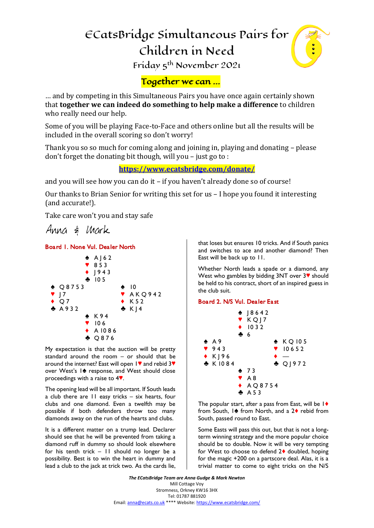# ECatsBridge Simultaneous Pairs for Children in Need



Friday 5th November 2021

# Together we can …

… and by competing in this Simultaneous Pairs you have once again certainly shown that **together we can indeed do something to help make a difference** to children who really need our help.

Some of you will be playing Face-to-Face and others online but all the results will be included in the overall scoring so don't worry!

Thank you so so much for coming along and joining in, playing and donating – please don't forget the donating bit though, will you – just go to :

**<https://www.ecatsbridge.com/donate/>**

and you will see how you can do it – if you haven't already done so of course!

Our thanks to Brian Senior for writing this set for us – I hope you found it interesting (and accurate!).

Take care won't you and stay safe



# *Board 1. None Vul. Dealer North*



*My expectation is that the auction will be pretty standard around the room – or should that be around the internet? East will open 1] and rebid 3] over West's 1[ response, and West should close proceedings with a raise to 4].*

*The opening lead will be all important. If South leads a club there are 11 easy tricks – six hearts, four clubs and one diamond. Even a twelfth may be possible if both defenders throw too many diamonds away on the run of the hearts and clubs.* 

*It is a different matter on a trump lead. Declarer should see that he will be prevented from taking a diamond ruff in dummy so should look elsewhere for his tenth trick – 11 should no longer be a possibility. Best is to win the heart in dummy and lead a club to the jack at trick two. As the cards lie,*  *that loses but ensures 10 tricks. And if South panics and switches to ace and another diamond? Then East will be back up to 11.*

*Whether North leads a spade or a diamond, any West who gambles by bidding 3NT over 3] should be held to his contract, short of an inspired guess in the club suit.*

# *Board 2. N/S Vul. Dealer East*



*The popular start, after a pass from East, will be 1{ from South, 1[ from North, and a 2{ rebid from South, passed round to East.*

*Some Easts will pass this out, but that is not a longterm winning strategy and the more popular choice should be to double. Now it will be very tempting for West to choose to defend 2{ doubled, hoping for the magic +200 on a partscore deal. Alas, it is a trivial matter to come to eight tricks on the N/S* 

*The ECatsBridge Team are Anna Gudge & Mark Newton* Mill Cottage Voy Stromness, Orkney KW16 3HX Tel: 01787 881920 Email[: anna@ecats.co.uk](mailto:anna@ecats.co.uk) \*\*\*\* Website[: https://www.ecatsbridge.com/](https://www.ecatsbridge.com/)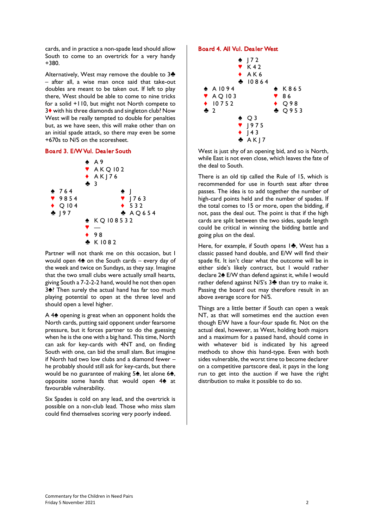*cards, and in practice a non-spade lead should allow South to come to an overtrick for a very handy +380.*

*Alternatively, West may remove the double to 3} – after all, a wise man once said that take-out doubles are meant to be taken out. If left to play there, West should be able to come to nine tricks for a solid +110, but might not North compete to 3{ with his three diamonds and singleton club? Now West will be really tempted to double for penalties but, as we have seen, this will make other than on an initial spade attack, so there may even be some +670s to N/S on the scoresheet.*

#### *Board 3. E/W Vul. Dealer South*



*Partner will not thank me on this occasion, but I would open 4[ on the South cards – every day of the week and twice on Sundays, as they say. Imagine that the two small clubs were actually small hearts, giving South a 7-2-2-2 hand, would he not then open*  **3**<sup> $\bullet$ </sup>? Then surely the actual hand has far too much *playing potential to open at the three level and should open a level higher.* 

*A 4[ opening is great when an opponent holds the North cards, putting said opponent under fearsome pressure, but it forces partner to do the guessing when he is the one with a big hand. This time, North can ask for key-cards with 4NT and, on finding South with one, can bid the small slam. But imagine if North had two low clubs and a diamond fewer – he probably should still ask for key-cards, but there*  would be no guarantee of making 5<sup> $\spadesuit$ </sup>, let alone 6<sup> $\spadesuit$ </sup>, opposite some hands that would open 4<sup>2</sup> at *favourable vulnerability.* 

*Six Spades is cold on any lead, and the overtrick is possible on a non-club lead. Those who miss slam could find themselves scoring very poorly indeed.*

#### *Board 4. All Vul. Dealer West*



*West is just shy of an opening bid, and so is North, while East is not even close, which leaves the fate of the deal to South.*

*There is an old tip called the Rule of 15, which is recommended for use in fourth seat after three passes. The idea is to add together the number of high-card points held and the number of spades. If the total comes to 15 or more, open the bidding, if not, pass the deal out. The point is that if the high cards are split between the two sides, spade length could be critical in winning the bidding battle and going plus on the deal.*

*Here, for example, if South opens 1}, West has a classic passed hand double, and E/W will find their spade fit. It isn't clear what the outcome will be in either side's likely contract, but I would rather declare 2[ E/W than defend against it, while I would rather defend against N/S's 3} than try to make it. Passing the board out may therefore result in an above average score for N/S.*

*Things are a little better if South can open a weak NT, as that will sometimes end the auction even though E/W have a four-four spade fit. Not on the actual deal, however, as West, holding both majors and a maximum for a passed hand, should come in with whatever bid is indicated by his agreed methods to show this hand-type. Even with both sides vulnerable, the worst time to become declarer on a competitive partscore deal, it pays in the long run to get into the auction if we have the right distribution to make it possible to do so.*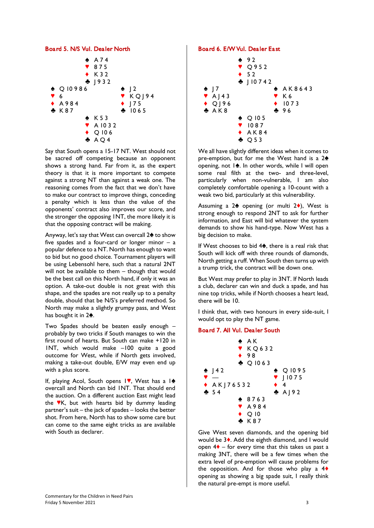#### *Board 5. N/S Vul. Dealer North*



*Say that South opens a 15-17 NT. West should not be sacred off competing because an opponent shows a strong hand. Far from it, as the expert theory is that it is more important to compete against a strong NT than against a weak one. The reasoning comes from the fact that we don't have to make our contract to improve things, conceding a penalty which is less than the value of the opponents' contract also improves our score, and the stronger the opposing 1NT, the more likely it is that the opposing contract will be making.*

*Anyway, let's say that West can overcall 2[ to show five spades and a four-card or longer minor – a popular defence to a NT. North has enough to want to bid but no good choice. Tournament players will be using Lebensohl here, such that a natural 2NT*  will not be available to them - though that would *be the best call on this North hand, if only it was an option. A take-out double is not great with this shape, and the spades are not really up to a penalty double, should that be N/S's preferred method. So North may make a slightly grumpy pass, and West*  has bought it in 2<sup>4</sup>.

*Two Spades should be beaten easily enough – probably by two tricks if South manages to win the first round of hearts. But South can make +120 in 1NT, which would make –100 quite a good outcome for West, while if North gets involved, making a take-out double, E/W may even end up with a plus score.*

*If, playing Acol, South opens 1*, West has a 1<sup>2</sup> *overcall and North can bid 1NT. That should end the auction. On a different auction East might lead the ]K, but with hearts bid by dummy leading partner's suit – the jack of spades – looks the better shot. From here, North has to show some care but can come to the same eight tricks as are available with South as declarer.*

#### *Board 6. E/W Vul. Dealer East*



*We all have slightly different ideas when it comes to pre-emption, but for me the West hand is a 2<sup>* $\triangle$ *</sup> opening, not 1[. In other words, while I will open some real filth at the two- and three-level, particularly when non-vulnerable, I am also completely comfortable opening a 10-count with a weak two bid, particularly at this vulnerability.* 

Assuming a 2<sup> $\bullet$ </sup> opening (or multi 2 $\bullet$ ), West is *strong enough to respond 2NT to ask for further information, and East will bid whatever the system demands to show his hand-type. Now West has a big decision to make.*

*If West chooses to bid 4<sup>2</sup>, there is a real risk that South will kick off with three rounds of diamonds, North getting a ruff. When South then turns up with a trump trick, the contract will be down one.*

*But West may prefer to play in 3NT. If North leads a club, declarer can win and duck a spade, and has nine top tricks, while if North chooses a heart lead, there will be 10.*

*I think that, with two honours in every side-suit, I would opt to play the NT game.*

#### *Board 7. All Vul. Dealer South*



*Give West seven diamonds, and the opening bid would be 3{. Add the eighth diamond, and I would open 4{ – for every time that this takes us past a making 3NT, there will be a few times when the extra level of pre-emption will cause problems for the opposition. And for those who play a 4{ opening as showing a big spade suit, I really think the natural pre-empt is more useful.*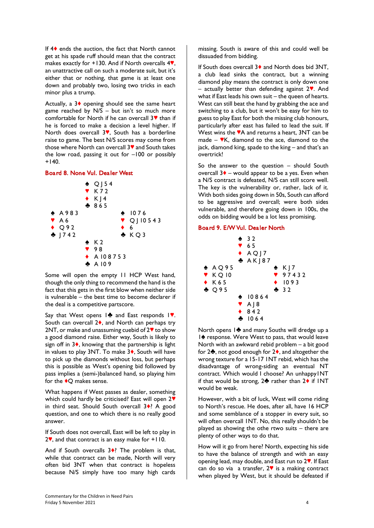*If 4{ ends the auction, the fact that North cannot get at his spade ruff should mean that the contract*  makes exactly for +130. And if North overcalls 4<sup>%</sup>, *an unattractive call on such a moderate suit, but it's either that or nothing, that game is at least one down and probably two, losing two tricks in each minor plus a trump.*

*Actually, a 3{ opening should see the same heart game reached by N/S – but isn't so much more comfortable for North if he can overcall 3] than if he is forced to make a decision a level higher. If North does overcall 3], South has a borderline raise to game. The best N/S scores may come from those where North can overcall 3] and South takes the low road, passing it out for –100 or possibly +140.*

#### *Board 8. None Vul. Dealer West*



*Some will open the empty 11 HCP West hand, though the only thing to recommend the hand is the fact that this gets in the first blow when neither side is vulnerable – the best time to become declarer if the deal is a competitive partscore.* 

Say that West opens 1<sup>2</sup> and East responds 1<sup>9</sup>. *South can overcall 2{, and North can perhaps try 2NT, or make and unassuming cuebid of 2] to show a good diamond raise. Either way, South is likely to sign off in 3{, knowing that the partnership is light*  in values to play 3NT. To make 3♦, South will have *to pick up the diamonds without loss, but perhaps this is possible as West's opening bid followed by pass implies a (semi-)balanced hand, so playing him for the {Q makes sense.*

*What happens if West passes as dealer, something which could hardly be criticised? East will open 2] in third seat. Should South overcall 3{? A good question, and one to which there is no really good answer.*

*If South does not overcall, East will be left to play in 2], and that contract is an easy make for +110.*

And if South overcalls 3<sup>4</sup>? The problem is that, *while that contract can be made, North will very often bid 3NT when that contract is hopeless because N/S simply have too many high cards* 

*missing. South is aware of this and could well be dissuaded from bidding.* 

*If South does overcall 3{ and North does bid 3NT, a club lead sinks the contract, but a winning diamond play means the contract is only down one – actually better than defending against 2]. And*  what if East leads his own suit – the queen of hearts. *West can still beat the hand by grabbing the ace and switching to a club, but it won't be easy for him to guess to play East for both the missing club honours, particularly after east has failed to lead the suit. If*  West wins the  $\mathbb{A}$  and returns a heart, 3NT can be *made* –  $\nabla K$ , diamond to the ace, diamond to the *jack, diamond king, spade to the king – and that's an overtrick!*

*So the answer to the question – should South overcall 3{ – would appear to be a yes. Even when a N/S contract is defeated, N/S can still score well. The key is the vulnerability or, rather, lack of it. With both sides going down in 50s, South can afford to be aggressive and overcall; were both sides vulnerable, and therefore going down in 100s, the odds on bidding would be a lot less promising.*

#### *Board 9. E/W Vul. Dealer North*

|                                                             | 232<br>$\sqrt{65}$<br>$\triangle$ AQJ7<br>A K   87                             |                                          |
|-------------------------------------------------------------|--------------------------------------------------------------------------------|------------------------------------------|
| $\spadesuit$ <code>AO95</code><br>$V$ KQ10<br>$\bullet$ K65 |                                                                                | $\bullet$ KJ7<br>97432<br>$\bullet$ 1093 |
| $\triangle$ Q95                                             | $\bullet$ 10864<br>$\blacktriangledown$ A $\rfloor$ 8<br>$\bullet$ 842<br>1064 | $-32$                                    |

*North opens 1} and many Souths will dredge up a*  **1**  $↑$  response. Were West to pass, that would leave *North with an awkward rebid problem – a bit good for 2}, not good enough for 2{, and altogether the wrong texture for a 15-17 1NT rebid, which has the disadvantage of wrong-siding an eventual NT contract. Which would I choose? An unhappy1NT if that would be strong, 2<sup>₺</sup> rather than 2<sup>♦</sup> <i>if INT would be weak.*

*However, with a bit of luck, West will come riding to North's rescue. He does, after all, have 16 HCP and some semblance of a stopper in every suit, so will often overcall 1NT. No, this really shouldn't be played as showing the othe rtwo suits – there are plenty of other ways to do that.* 

*How will it go from here? North, expecting his side to have the balance of strength and with an easy opening lead, may double, and East run to 2]. If East can do so via a transfer, 2] is a making contract when played by West, but it should be defeated if*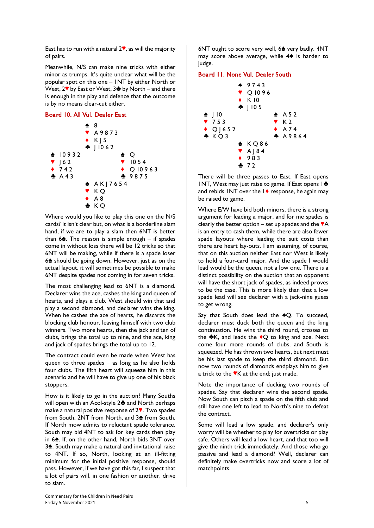*East has to run with a natural 2], as will the majority of pairs.* 

*Meanwhile, N/S can make nine tricks with either minor as trumps. It's quite unclear what will be the popular spot on this one – 1NT by either North or West, 2*<sup> $>$ </sup> *by East or West, 3<sup></sup> <i>by North – and there is enough in the play and defence that the outcome is by no means clear-cut either.*

#### *Board 10. All Vul. Dealer East*



*Where would you like to play this one on the N/S cards? It isn't clear but, on what is a borderline slam hand, if we are to play a slam then 6NT is better than 6[. The reason is simple enough – if spades come in without loss there will be 12 tricks so that 6NT will be making, while if there is a spade loser 6[ should be going down. However, just as on the actual layout, it will sometimes be possible to make 6NT despite spades not coming in for seven tricks.* 

*The most challenging lead to 6NT is a diamond. Declarer wins the ace, cashes the king and queen of hearts, and plays a club. West should win that and play a second diamond, and declarer wins the king. When he cashes the ace of hearts, he discards the blocking club honour, leaving himself with two club winners. Two more hearts, then the jack and ten of clubs, brings the total up to nine, and the ace, king and jack of spades brings the total up to 12.* 

*The contract could even be made when West has queen to three spades – as long as he also holds four clubs. The fifth heart will squeeze him in this scenario and he will have to give up one of his black stoppers.*

*How is it likely to go in the auction? Many Souths will open with an Acol-style 2} and North perhaps make a natural positive response of 2]. Two spades*  from South, 2NT from North, and 3<sup> $\spadesuit$ </sup> from South. *If North mow admits to reluctant spade tolerance, South may bid 4NT to ask for key cards then play in 6[. If, on the other hand, North bids 3NT over 3[, South may make a natural and invitational raise to 4NT. If so, North, looking at an ill-fitting minimum for the initial positive response, should pass. However, if we have got this far, I suspect that a lot of pairs will, in one fashion or another, drive to slam.*

*6NT ought to score very well, 6[ very badly. 4NT may score above average, while 4[ is harder to judge.*

#### *Board 11. None Vul. Dealer South*



*There will be three passes to East. If East opens*  1NT, West may just raise to game. If East opens 1<sup>2</sup> *and rebids 1NT over the 1{ response, he again may be raised to game.*

*Where E/W have bid both minors, there is a strong argument for leading a major, and for me spades is clearly the better option – set up spades and the*  $\mathbf{A}$ *is an entry to cash them, while there are also fewer spade layouts where leading the suit costs than there are heart lay-outs. I am assuming, of course, that on this auction neither East nor West is likely to hold a four-card major. And the spade I would lead would be the queen, not a low one. There is a distinct possibility on the auction that an opponent will have the short jack of spades, as indeed proves to be the case. This is more likely than that a low spade lead will see declarer with a jack-nine guess to get wrong.*

Say that South does lead the <sup>4</sup>Q. To succeed, *declarer must duck both the queen and the king continuation. He wins the third round, crosses to*  the **\*K**, and leads the <sup>◆</sup>Q to king and ace. Next *come four more rounds of clubs, and South is squeezed. He has thrown two hearts, but next must be his last spade to keep the third diamond. But now two rounds of diamonds endplays him to give a trick to the ]K at the end; just made.*

*Note the importance of ducking two rounds of spades. Say that declarer wins the second spade. Now South can pitch a spade on the fifth club and still have one left to lead to North's nine to defeat the contract.*

*Some will lead a low spade, and declarer's only worry will be whether to play for overtricks or play safe. Others will lead a low heart, and that too will give the ninth trick immediately. And those who go passive and lead a diamond? Well, declarer can definitely make overtricks now and score a lot of matchpoints.*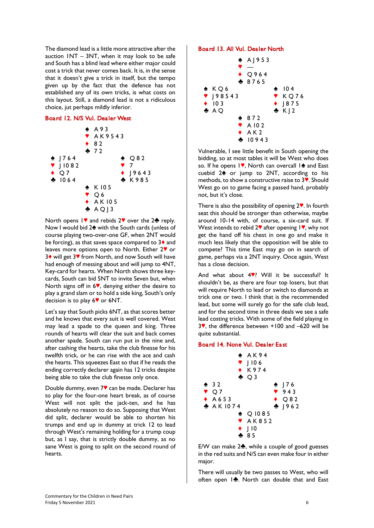*The diamond lead is a little more attractive after the auction 1NT – 3NT, when it may look to be safe and South has a blind lead where either major could cost a trick that never comes back. It is, in the sense that it doesn't give a trick in itself, but the tempo given up by the fact that the defence has not established any of its own tricks, is what costs on this layout. Still, a diamond lead is not a ridiculous choice, jut perhaps mildly inferior.*

#### *Board 12. N/S Vul. Dealer West*



*North opens 1* **Ⅰ** *and rebids* 2<sup>*●*</sup> *over the* 2<sup></sup> *reply. Now I would bid 2[ with the South cards (unless of course playing two-over-one GF, when 2NT would be forcing), as that saves space compared to 3{ and leaves more options open to North. Either 2] or 3{ will get 3] from North, and now South will have had enough of messing about and will jump to 4NT, Key-card for hearts. When North shows three keycards, South can bid 5NT to invite Seven but, when North signs off in 6], denying either the desire to play a grand slam or to hold a side king, South's only decision is to play 6] or 6NT.*

*Let's say that South picks 6NT, as that scores better and he knows that every suit is well covered. West may lead a spade to the queen and king. Three rounds of hearts will clear the suit and back comes another spade. South can run put in the nine and, after cashing the hearts, take the club finesse for his twelfth trick, or he can rise with the ace and cash the hearts. This squeezes East so that if he reads the ending correctly declarer again has 12 tricks despite being able to take the club finesse only once.*

*Double dummy, even 7] can be made. Declarer has to play for the four-one heart break, as of course West will not split the jack-ten, and he has absolutely no reason to do so. Supposing that West did split, declarer would be able to shorten his trumps and end up in dummy at trick 12 to lead through West's remaining holding for a trump coup but, as I say, that is strictly double dummy, as no sane West is going to split on the second round of hearts.*

#### *Board 13. All Vul. Dealer North*



*Vulnerable, I see little benefit in South opening the bidding, so at most tables it will be West who does*  so. If he opens 1<sup>9</sup>, North can overcall 1<sup>2</sup> and East *cuebid 2[ or jump to 2NT, according to his methods, to show a constructive raise to 3]. Should West go on to game facing a passed hand, probably not, but it's close.*

*There is also the possibility of opening 2]. In fourth seat this should be stronger than otherwise, maybe around 10-14 with, of course, a six-card suit. If*  West intends to rebid 2<sup> $\blacklozenge$ </sup> after opening 1<sup> $\blacklozenge$ </sup>, why not *get the hand off his chest in one go and make it much less likely that the opposition will be able to compete? This time East may go on in search of game, perhaps via a 2NT inquiry. Once again, West has a close decision.*

And what about 4<sup>9</sup>? Will it be successful? It *shouldn't be, as there are four top losers, but that will require North to lead or switch to diamonds at trick one or two. I think that is the recommended lead, but some will surely go for the safe club lead, and for the second time in three deals we see a safe lead costing tricks. With some of the field playing in 3], the difference between +100 and –620 will be quite substantial.*

#### *Board 14. None Vul. Dealer East*



*E/W can make 2}, while a couple of good guesses in the red suits and N/S can even make four in either major.*

*There will usually be two passes to West, who will often open 1}. North can double that and East*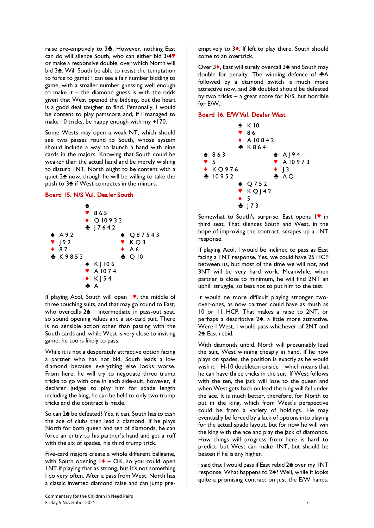*raise pre-emptively to 3}. However, nothing East*  can do will silence South, who can either bid 3/4<sup>9</sup> *or make a responsive double, over which North will bid 3[. Will South be able to resist the temptation to force to game? I can see a fair number bidding to game, with a smaller number guessing well enough to make it – the diamond guess is with the odds given that West opened the bidding, but the heart is a good deal tougher to find. Personally, I would be content to play partscore and, if I managed to make 10 tricks, be happy enough with my +170.*

*Some Wests may open a weak NT, which should see two passes round to South, whose system should include a way to launch a hand with nine cards in the majors. Knowing that South could be weaker than the actual hand and be merely wishing to disturb 1NT, North ought to be content with a quiet 2[ now, though he will be willing to take the push to 3[ if West competes in the minors.*

#### *Board 15. N/S Vul. Dealer South*



*If* playing Acol, South will open 1<sup>,</sup> the middle of *three touching suits, and that may go round to East,*  who overcalls  $2\spadesuit$  – intermediate in pass-out seat, *so sound opening values and a six-card suit. There is no sensible action other than passing with the South cards and, while West is very close to inviting game, he too is likely to pass.* 

*While it is not a desperately attractive option facing a partner who has not bid, South leads a low diamond because everything else looks worse. From here, he will try to negotiate three trump tricks to go with one in each side-suit, however, if declarer judges to play him for spade length including the king, he can be held to only two trump tricks and the contract is made.* 

*So can 2[ be defeated? Yes, it can. South has to cash the ace of clubs then lead a diamond. If he plays North for both queen and ten of diamonds, he can force an entry to his partner's hand and get a ruff with the six of spades, his third trump trick.*

*Five-card majors create a whole different ballgame, with South opening 1{ – OK, so you could open 1NT if playing that as strong, but it's not something I do very often. After a pass from West, North has a classic inverted diamond raise and can jump pre-* *emptively to 3{. If left to play there, South should come to an overtrick.*

*Over 3{, East will surely overcall 3[ and South may*  double for penalty. The winning defence of  $\clubsuit$ A *followed by a diamond switch is much more attractive now, and 3[ doubled should be defeated by two tricks – a great score for N/S, but horrible for E/W.*

# *Board 16. E/W Vul. Dealer West*



*Somewhat to South's surprise, East opens 1] in third seat. That silences South and West, in the hope of improving the contract, scrapes up a 1NT response.* 

*If playing Acol, I would be inclined to pass as East facing a 1NT response. Yes, we could have 25 HCP between us, but most of the time we will not, and 3NT will be very hard work. Meanwhile, when partner is close to minimum, he will find 2NT an uphill struggle, so best not to put him to the test.*

*It would ne more difficult playing stronger twoover-ones, as now partner could have as mush as 10 or 11 HCP. That makes a raise to 2NT, or perhaps a descriptive 2[, a little more attractive. Were I West, I would pass whichever of 2NT and*  2<sup> $\triangle$ </sup> East rebid.

*With diamonds unbid, North will presumably lead the suit, West winning cheaply in hand. If he now plays on spades, the position is exactly as he would wish it – H-10 doubleton onside – which means that he can have three tricks in the suit. If West follows with the ten, the jack will lose to the queen and when West gets back on lead the king will fall under the ace. It is much better, therefore, for North to put in the king, which from West's perspective could be from a variety of holdings. He may eventually be forced by a lack of options into playing for the actual spade layout, but for now he will win the king with the ace and play the jack of diamonds. How things will progress from here is hard to predict, but West can make 1NT, but should be beaten if he is any higher.*

*I* said that I would pass if East rebid 2<sup> $\triangle$ </sup> over my INT *response. What happens to 2[? Well, while it looks quite a promising contract on just the E/W hands,*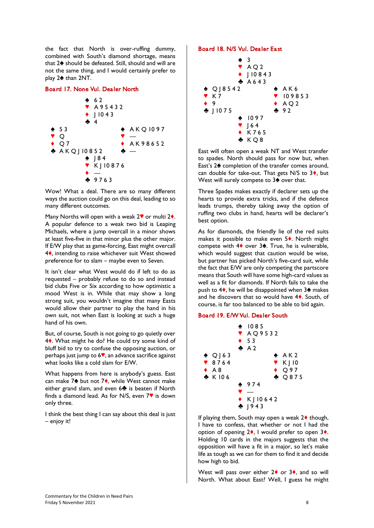*the fact that North is over-ruffing dummy, combined with South's diamond shortage, means that 2[ should be defeated. Still, should and will are not the same thing, and I would certainly prefer to*  play 2<sup> $\triangle$ </sup> than 2NT.

#### *Board 17. None Vul. Dealer North*



*Wow! What a deal. There are so many different ways the auction could go on this deal, leading to so many different outcomes.*

*Many Norths will open with a weak 2<sup>* $\degree$ *</sup> or multi 2<sup>* $\degree$ *</sup>. A popular defence to a weak two bid is Leaping Michaels, where a jump overcall in a minor shows at least five-five in that minor plus the other major. If E/W play that as game-forcing, East might overcall 4{, intending to raise whichever suit West showed preference for to slam – maybe even to Seven.*

*It isn't clear what West would do if left to do as requested – probably refuse to do so and instead bid clubs Five or Six according to how optimistic a mood West is in. While that may show a long strong suit, you wouldn't imagine that many Easts would allow their partner to play the hand in his own suit, not when East is looking at such a huge hand of his own.*

*But, of course, South is not going to go quietly over 4{. What might he do? He could try some kind of bluff bid to try to confuse the opposing auction, or perhaps just jump to 6], an advance sacrifice against what looks like a cold slam for E/W.* 

*What happens from here is anybody's guess. East*  can make 7<sup>★</sup> but not 7◆, while West cannot make *either grand slam, and even 6} is beaten if North finds a diamond lead. As for N/S, even*  $7$ <sup> $\bullet$ </sup> *is down only three.*

*I think the best thing I can say about this deal is just – enjoy it!*

#### *Board 18. N/S Vul. Dealer East*



*East will often open a weak NT and West transfer to spades. North should pass for now but, when East's 2[ completion of the transfer comes around,*  can double for take-out. That gets N/S to 3<sup>\*</sup>, but West will surely compete to 3<sup>2</sup> over that.

*Three Spades makes exactly if declarer sets up the hearts to provide extra tricks, and if the defence leads trumps, thereby taking away the option of ruffing two clubs in hand, hearts will be declarer's best option.* 

*As for diamonds, the friendly lie of the red suits makes it possible to make even 5{. North might compete with 4♦ over 3*<sup> $\triangle$ </sup>. True, he is vulnerable, *which would suggest that caution would be wise, but partner has picked North's five-card suit, while the fact that E/W are only competing the partscore means that South will have some high-card values as well as a fit for diamonds. If North fails to take the*  push to  $4\spadesuit$ , he will be disappointed when  $3\spadesuit$  makes *and he discovers that so would have 4{. South, of course, is far too balanced to be able to bid again.*

#### *Board 19. E/W Vul. Dealer South*



*If playing them, South may open a weak 2{ though, I have to confess, that whether or not I had the option of opening 2{, I would prefer to open 3{. Holding 10 cards in the majors suggests that the opposition will have a fit in a major, so let's make life as tough as we can for them to find it and decide how high to bid.*

West will pass over either 2<sup> $\bullet$ </sup> or 3 $\bullet$ , and so will *North. What about East? Well, I guess he might*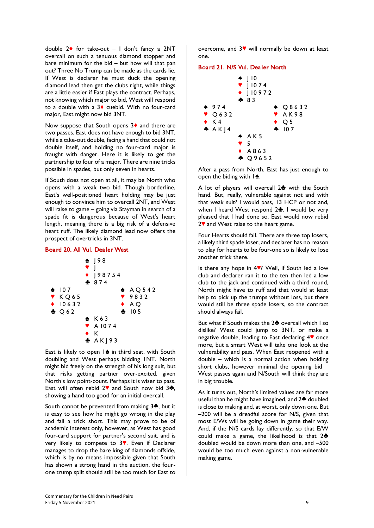*double 2{ for take-out – I don't fancy a 2NT overcall on such a tenuous diamond stopper and bare minimum for the bid – but how will that pan out? Three No Trump can be made as the cards lie. If West is declarer he must duck the opening diamond lead then get the clubs right, while things are a little easier if East plays the contract. Perhaps, not knowing which major to bid, West will respond to a double with a 3{ cuebid. With no four-card major, East might now bid 3NT.*

*Now suppose that South opens 3{ and there are two passes. East does not have enough to bid 3NT, while a take-out double, facing a hand that could not double itself, and holding no four-card major is fraught with danger. Here it is likely to get the partnership to four of a major. There are nine tricks possible in spades, but only seven in hearts.*

*If South does not open at all, it may be North who opens with a weak two bid. Though borderline, East's well-positioned heart holding may be just enough to convince him to overcall 2NT, and West will raise to game – going via Stayman in search of a spade fit is dangerous because of West's heart length, meaning there is a big risk of a defensive heart ruff. The likely diamond lead now offers the prospect of overtricks in 3NT.*

#### *Board 20. All Vul. Dealer West*



East is likely to open  $1\spadesuit$  in third seat, with South *doubling and West perhaps bidding 1NT. North might bid freely on the strength of his long suit, but that risks getting partner over-excited, given North's low point-count. Perhaps it is wiser to pass.*  East will often rebid 2<sup>♥</sup> and South now bid 3<del>₺</del>, *showing a hand too good for an initial overcall.* 

*South cannot be prevented from making 3}, but it is easy to see how he might go wrong in the play and fall a trick short. This may prove to be of academic interest only, however, as West has good four-card support for partner's second suit, and is very likely to compete to 3]. Even if Declarer manages to drop the bare king of diamonds offside, which is by no means impossible given that South has shown a strong hand in the auction, the fourone trump split should still be too much for East to* 

*overcome, and 3] will normally be down at least one.*

#### *Board 21. N/S Vul. Dealer North*



*After a pass from North, East has just enough to*  open the biding with  $1\spadesuit$ .

*A lot of players will overcall 2} with the South hand. But, really, vulnerable against not and with that weak suit? I would pass, 13 HCP or not and, when I heard West respond 2}, I would be very pleased that I had done so. East would now rebid 2] and West raise to the heart game.*

*Four Hearts should fail. There are three top losers, a likely third spade loser, and declarer has no reason to play for hearts to be four-one so is likely to lose another trick there.*

*Is there any hope in 4*. Well, if South led a low *club and declarer ran it to the ten then led a low club to the jack and continued with a third round, North might have to ruff and that would at least help to pick up the trumps without loss, but there would still be three spade losers, so the contract should always fail.*

*But what if South makes the 2} overcall which I so dislike? West could jump to 3NT, or make a negative double, leading to East declaring 4] once more, but a smart West will take one look at the vulnerability and pass. When East reopened with a double – which is a normal action when holding short clubs, however minimal the opening bid – West passes again and N/South will think they are in big trouble.* 

*As it turns out, North's limited values are far more useful than he might have imagined, and 2} doubled is close to making and, at worst, only down one. But –200 will be a dreadful score for N/S, given that most E/Ws will be going down in game their way. And, if the N/S cards lay differently, so that E/W could make a game, the likelihood is that 2} doubled would be down more than one, and –500 would be too much even against a non-vulnerable making game.*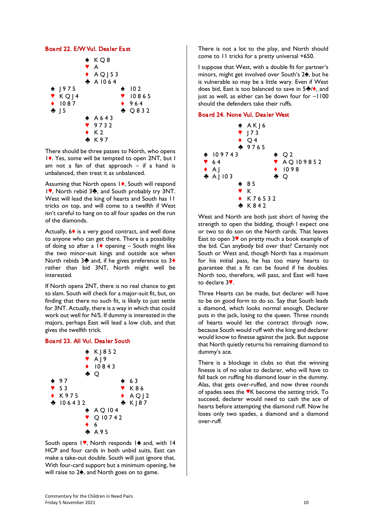#### *Board 22. E/W Vul. Dealer East*



*There should be three passes to North, who opens 1{. Yes, some will be tempted to open 2NT, but I am not a fan of that approach – if a hand is unbalanced, then treat it as unbalanced.* 

*Assuming that North opens 1{, South will respond*  1♥, North rebid 3<del></del>, and South probably try 3NT. *West will lead the king of hearts and South has 11 tricks on top, and will come to a twelfth if West isn't careful to hang on to all four spades on the run of the diamonds.* 

*Actually, 6{ is a very good contract, and well done to anyone who can get there. There is a possibility of doing so after a 1{ opening – South might like the two minor-suit kings and outside ace when North rebids 3} and, if he gives preference to 3{ rather than bid 3NT, North might well be interested.* 

*If North opens 2NT, there is no real chance to get to slam. South will check for a major-suit fit, but, on finding that there no such fit, is likely to just settle for 3NT. Actually, there is a way in which that could work out well for N/S. If dummy is interested in the majors, perhaps East will lead a low club, and that gives the twelfth trick.*

#### *Board 23. All Vul. Dealer South*



South opens 1<sup>,</sup> North responds 1<sup>2</sup> and, with 14 *HCP and four cards in both unbid suits, East can make a take-out double. South will just ignore that. With four-card support but a minimum opening, he*  will raise to 2<sup> $\spadesuit$ </sup>, and North goes on to game.

*There is not a lot to the play, and North should come to 11 tricks for a pretty universal +650.*

*I suppose that West, with a double fit for partner's minors, might get involved over South's 2<sup>4</sup>, but he is vulnerable so may be a little wary. Even if West*  does bid, East is too balanced to save in 5<sup> ${}}$ </sup>/♦, and *just as well, as either can be down four for*  $-1100$ *should the defenders take their ruffs.*

## *Board 24. None Vul. Dealer West*



*West and North are both just short of having the strength to open the bidding, though I expect one or two to do son on the North cards. That leaves East to open 3] on pretty much a book example of the bid. Can anybody bid over that? Certainly not South or West and, though North has a maximum for his initial pass, he has too many hearts to guarantee that a fit can be found if he doubles. North too, therefore, will pass, and East will have to declare 3].*

*Three Hearts can be made, but declarer will have to be on good form to do so. Say that South leads a diamond, which looks normal enough. Declarer puts in the jack, losing to the queen. Three rounds of hearts would let the contract through now, because South would ruff with the king and declarer would know to finesse against the jack. But suppose that North quietly returns his remaining diamond to dummy's ace.* 

*There is a blockage in clubs so that the winning finesse is of no value to declarer, who will have to fall back on ruffing his diamond loser in the dummy. Alas, that gets over-ruffed, and now three rounds of spades sees the ]K become the setting trick. To succeed, declarer would need to cash the ace of hearts before attempting the diamond ruff. Now he loses only two spades, a diamond and a diamond over-ruff.*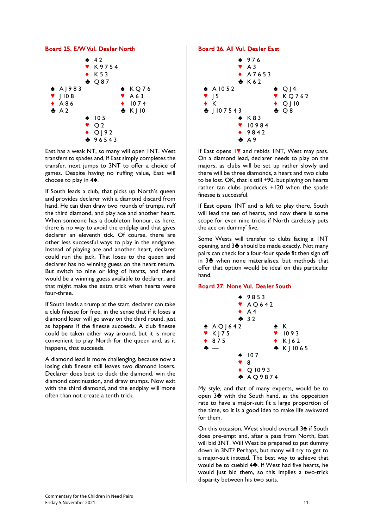### *Board 25. E/W Vul. Dealer North*



*East has a weak NT, so many will open 1NT. West transfers to spades and, if East simply completes the transfer, next jumps to 3NT to offer a choice of games. Despite having no ruffing value, East will*  choose to play in  $4\spadesuit$ .

*If South leads a club, that picks up North's queen and provides declarer with a diamond discard from hand. He can then draw two rounds of trumps, ruff the third diamond, and play ace and another heart. When someone has a doubleton honour, as here, there is no way to avoid the endplay and that gives declarer an eleventh tick. Of course, there are other less successful ways to play in the endgame. Instead of playing ace and another heart, declarer could run the jack. That loses to the queen and declarer has no winning guess on the heart return. But switch to nine or king of hearts, and there would be a winning guess available to declarer, and that might make the extra trick when hearts were four-three.*

*If South leads a trump at the start, declarer can take a club finesse for free, in the sense that if it loses a diamond loser will go away on the third round, just as happens if the finesse succeeds. A club finesse could be taken either way around, but it is more convenient to play North for the queen and, as it happens, that succeeds.*

*A diamond lead is more challenging, because now a losing club finesse still leaves two diamond losers. Declarer does best to duck the diamond, win the diamond continuation, and draw trumps. Now exit with the third diamond, and the endplay will more often than not create a tenth trick.*

#### *Board 26. All Vul. Dealer East*



*If East opens 1] and rebids 1NT, West may pass. On a diamond lead, declarer needs to play on the majors, as clubs will be set up rather slowly and there will be three diamonds, a heart and two clubs to be lost. OK, that is still +90, but playing on hearts rather tan clubs produces +120 when the spade finesse is successful.*

*If East opens 1NT and is left to play there, South will lead the ten of hearts, and now there is some scope for even nine tricks if North carelessly puts the ace on dummy' five.*

*Some Wests will transfer to clubs facing a 1NT opening, and 3} should be made exactly. Not many pairs can check for a four-four spade fit then sign off in 3} when none materialises, but methods that offer that option would be ideal on this particular hand.*

#### *Board 27. None Vul. Dealer South*



*My style, and that of many experts, would be to open 3} with the South hand, as the opposition rate to have a major-suit fit a large proportion of the time, so it is a good idea to make life awkward for them.* 

*On this occasion, West should overcall 3[ if South does pre-empt and, after a pass from North, East will bid 3NT. Will West be prepared to put dummy down in 3NT? Perhaps, but many will try to get to a major-suit instead. The best way to achieve that would be to cuebid 4}. If West had five hearts, he would just bid them, so this implies a two-trick disparity between his two suits.*